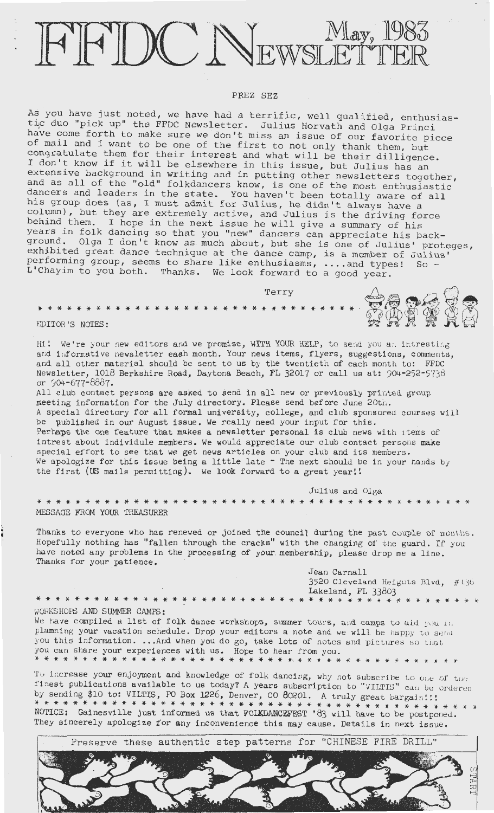# FEDC NEWSLETTER

### PREZ SEZ

As you have just noted, we have had a terrific, well qualified, enthusiastic duo "pick up" the FFDC Newsletter. Julius Horvath and Olga Princi have come forth to make sure we don't miss an issue of our favorite piece of mail and I want to be one of the first to not only thank them, but congratulate them for their interest and what will be their dilligence. I don't know if it will be elsewhere in this issue, but Julius has an extensive background in writing and in putting other newsletters together, and as all of the "old" folkdancers know, is one of the most enthusiastic dancers and leaders in the state. You haven't been totally aware of all his group does (as, I must admit for Julius, he didn't always have a column), but they are extremely active, and Julius is the driving force behind them. I hope in the next issue he will give a summary of his years in folk dancing so that you "new" dancers can appreciate his background. Olga I don't know as much about, but she is one of Julius' proteges, exhibited great dance technique at the dance camp, is a member of Julius' performing group, seems to share like enthusiasms, . ... and types! So - L' Chayim to you both. Thanks. We look forward to a good year.

Terry \* \* \* \* \* \* \* \* \* \* \* \* \* \* \* \* \* \* \* \* \* \* \* \* \* \* \* \* \* \* \* \* \* EDITOR'S NOTES:

Hi! We're your new editors and we promise, WITH YOUR HELP, to send you an intresting and informative newsletter eash month. Your news items, flyers, suggestions, comments, and. all other material should be sent to us by the twentieth of each month to: FFDC Newsletter, 1018 Berkshire Road, Daytona Beach, FL 32017 or call us at: 904-252-5738 or 904-677-8887.

All club contact persons are asked to send in all new or previously printed group meeting information for the July directory. Please send before June 20th. A special directory for all formal university, college, and club sponsored courses will be published in our August issue. We really need your input for this. Perhaps the one feature that makes a newsletter personal is club news with items of intrest about individule members. We would appreciate our club contact persons make special effort to see that we get news articles on your club and its members. We apologize for this issue being a little late  $-$  The next should be in your nands by the first (US mails permitting). We look forward to a great year!!

\* \* \* \* \* \* \* \* \* \* \* \* \* \* \* \* \* \* \* \* \* \* \* \* \* \* \* \* \* \* \* \* \* \* \* \* \* \* \* \* \* \* \* \* \*

Julius and Olga

MESSAGE FROM YOUR TREASURER

Thanks to everyone who has renewed or joined the council during the past couple of months. Hopefully nothing has "fallen through the cracks" with the changing of the guard. If you have noted any problems in the processing of your. membership, please drop me a line. Thanks for your patience.

> Jean Carnall 3520 Cleveland Heights Blvd,  $#136$ Lakeland, FL 33803 \* \* \* \* \* \* \* \* \* \* \* \* \* \*

WORKSHOPS AND SUMMER CAMPS:

\* \* \* \* \* \* \* \* \* \* \* \* \* \* \* \* \* \* \* \* \* \* \* \* \* \* \* \*

We have compiled a list of folk dance workshops, summer tours, and camps to aid you in. plamning your vacation schedule. Drop your editors a note and we will be happy to send you this information. ... And when you do go, take lots of notes and pictures so that you can share your experiences with us. Hope to hear from you. \* \* \* \* \* \* \* \* \* \* \* \* \* \* \* \* \* \* \* \* \* \* \* \* \* \* \*· \* \* \* \* \* \* \* \* \* \* \* \* \* *\** \* \* .

To increase your enjoyment and knowledge of folk dancing, why not subscribe to one of the finest publications available to us today? A years subscription to "VILTIS" can be ordered by sending \$10 to: VILTIS, PO Box 1226, Denver, CO  $\theta$ 0201. A truly great bargain!!! \* \* \* \* \* \* \* \* \* \* \* \* \* \* \* \* \* \* \* \* \* \* \* \* \* \* \* \* \* \* \* \* \* \* \* \* \* \* \* \* \* \* \* \* \* \* NOTICE: Gainesville just informed us that FOLKDANCEFEST 1 83 will have to be postponed. They sincerely apologize for any inconvenience this may cause. Details in next issue .

Preserve these authentic step patterns for "CHINESE FIRE DRILL" TART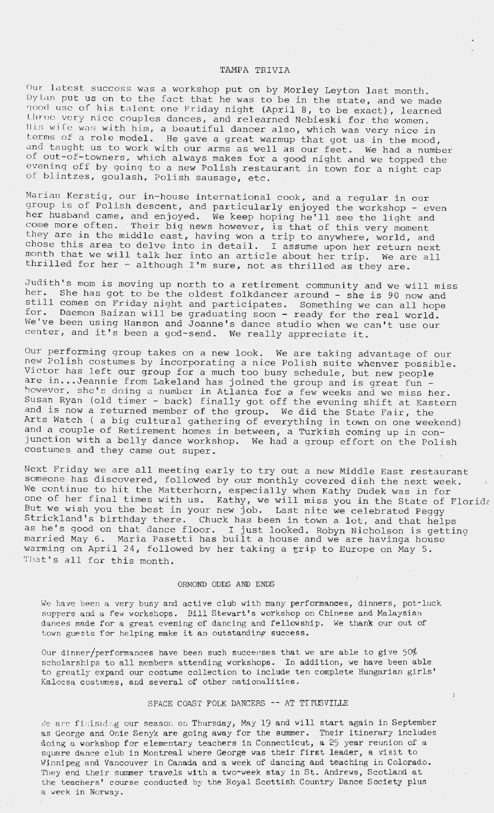## TAMPA TRIVIA

Our latest success was a workshop put on by Morley Leyton last month. Dy lan put us on to the fact that he was to be in the state, and we made good use of his talent one Friday night (April 8, to be exact), learned three very nice couples dances, and relearned Nebieski for the women. all be very hist couples dances, and ferearned Nebreski for the Women.<br>Ills wife was with him, a beautiful dancer also, which was very nice in terms of a role model. He gave a great warmup that got us in the mood, and taught us to work with our arms as well as our feet. We had a number of out-of-towners, which always makes for a good night and we topped the evening off by going to a new Polish restaurant in town for a night cap of blintzes, goulash, Polish sausage, etc.

Marian Kerstig, our in-house international cook, and a regular in our group is of Polish descent, and particularly enjoyed the workshop - even her husband came , and enjoyed. We keep hoping he'll see the light and come more often. Their big news however, is that of this very moment they are in the middle east, having won a trip to anywhere, world, and chose this area to delve into in detail. I assume upon her return next chose this area to delve into in detail. I assume upon her return next<br>month that we will talk her into an article about her trip. We are all thrilled for her - although I'm sure, not as thrilled as they are.

Judith's mom is moving up north to a retirement community and we will miss<br>her. She has got to be the oldest folkdancer around - she is 80 nov and She has got to be the oldest folkdancer around - she is 90 now and still comes on Friday night and participates. Something we can all hope<br>still comes on Friday night and participates. Something we can all hope for . Daemon Baizan will be graduating soon - ready for the real world. We've been using Hanson and Joanne 's dance studio when we can't use our center, and it's been a god-send. We really appreciate it.

Our performing group takes on a new look. We are taking advantage of our new Polish costumes by incorporating a nice Polish suite whenver possible. was refign costumes by incorporating a nice rofish suite whenver possik<br>Victor has left our group for a much too busy schedule, but new people are in...Jeannie from Lakeland has joined the group and is great fun however, she's doing a number in Atlanta for a few weeks and we miss her. Susan Ryan (old timer - back) finally got off the evening shift at Eastern and is now a returned member of the group. We did the State Fair, the Arts Watch ( a big cultural gathering of everything in town on one weekend) and a couple of Retirement homes in between, a Turkish coming up in conjunction with a belly dance workshop. We had a group effort on the Polish costumes and they came out super.

Next Friday we are all meeting early to try out a new Middle East restaurant someone has discovered, followed by our monthly covered dish the next week. We continue to hit the Matterhorn, especially when Kathy Dudek was in for one of her final times with us. Kathy, we will miss you in the State of Florida But we wish you the best in your new job. Last nite we celebrated Peggy Strickland's birthday there. Chuck has been in town a lot, and that helps as he's good on that dance floor. I just looked. Robyn Nicholson is getting married May 6 . Maria Pasetti has built a house and we are havinga house warming on April 24, followed by her taking a  $trip$  to Europe on May 5. That's all for this month.

### ORMOND ODDS AND ENDS

We have been a very busy and active club with many performances, dinners, pot-luck suppers and a few workshops. Bill Stewart's workshop on Chinese and Malaysian dances made for a great evening of dancing and fellowship. We thank our out of town guests for helping make it an outstanding success.

Our dinner/performances have been such succerses that we are able to give  $50\%$ scholarships to all members attending workshops. In addition, we have been able to greatly expand our costume collection to include ten complete Hungarian girls' Kalocsa costumes, and several of other nationalities.

# SPACE COAST FOLK DANCERS -- AT TITUSVILLE

We are finishing our season on Thursday, May 19 and will start again in September as George and Onie Senyk are going away for the summer. Their itinerary includes doing a workshop for elementary teachers in Connecticut, a 25 year reunion of a square dance club in Montreal where George was their first leader, a visit to Winnipeg and Vancouver in Canada and a week of dancing and teaching in Colorado. They end their summer travels with a two-week stay in St. Andrews, Scotland at the teachers' course conducted by the Royal Scottish Country Dance Society plus a week in Norway.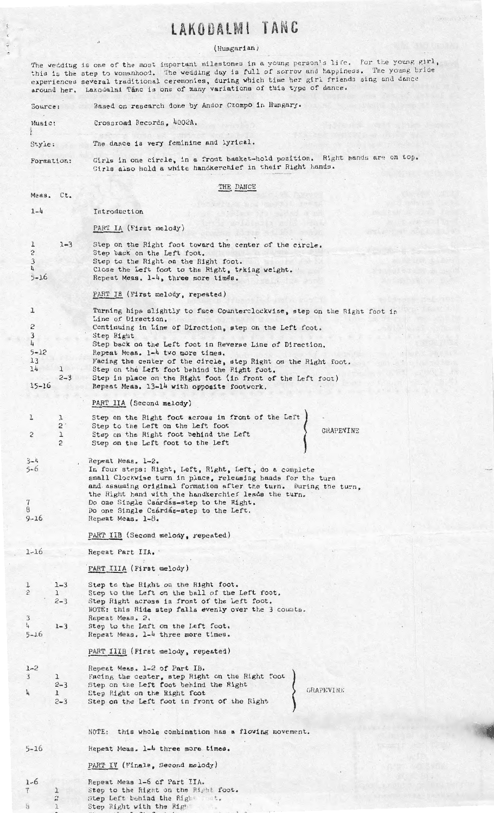# LAKODALMI TANC

#### (Hungarian)

The wedding is one of the most important milestones in a young person's life. For the young girl, this is the experiences around her, step to womanhood. The wedding day is full of sorrow and happiness. The young bride several traditional ceremonies, during which time her girl friends sing and dance Lakodalrui Tanc is one of many **variations** of this type of dance,

Based on research done by Andor Czompo in Hungary, Source: Crossroad Records, 4002A. Music:  $\frac{1}{\sqrt{1+\alpha}}$ The dance is very feminine and lyrical, Style: Girls in one circle, in a front basket-hold position. Right hands are on top. Formation: Girls also hold a white handkerchief in their Right hands. THE DANCE Meas. Ct, 1-4 Introduction PART IA (First melody) l 1-3 Step on the Right foot toward the center of the circle, 2 Step back on the Left foot, Step to the Right on the Right foot. 3 4 Close the Left foot to the Right, trking weight. Repeat Meas. 1-4, three more times. 5-16 PART IB (First melody, repeated) Turning hips slightly to face Counterclockwise, step on the Right foot in l Line of Direction, 2 Continuing in Line of Direction, step on the Left foot. 3 Step Right 4 Step back on the Left foot in Reverse Line of Direction, 5-12 Repeat Meas. 1-4 two more times. Facing the center of the circle, step Right on the Right foot. 13 14 1 Step on the Left foot behind the Right foot. Step in place on the Right foot (in front of the Left foot) 2-3 Repeat Meas, 13-14 with opposite footwork. 15-16 PART IIA (Second melody) 1 Step on the Right foot across in front of the Left 1  $2'$ Step to the Left on the Left foot GRAPEVINE 2 1 Step on the Right foot behind the Left  $\overline{2}$ Step on the Left foot to the Left 3-4 Repeat Meas, 1-2. In four steps: Right, Left, Right, Left, do a complete 5- 6 small Clockwise turn in place, releasing hands for the turn and assuming original formation after the turn. During the turn, the Right hand with the handkerchief leads the turn. Do one Single Csárdás-step to the Right. 7 8 Do one Single Csárdás-step to the Left. 9-16 Repeat Meas. 1-8. PART IIB (Second melody, repeated)  $1 - 16$ Repeat Part IIA. · PART IIIA (First melody) 1-3 Step to the Right on the Right foot. 1 2 1 Step to the Left on the ball of the Left foot. 2-3 Step Right across in front of the Left foot. NOTE: this Rida step falls evenly over the 3 counts. 3 Repeat Meas, 2. 4 Step to the Left on the Left foot. 1-3 Repeat Meas. 1-4 three more times. 5- 16 Repeat Meas. 1-4 three more times.<br>
PART IIIB (First melody, repeated)<br>
Repeat Meas. 1-2 of Part IB.<br>
Facing the center, step Right on the Right foot<br>
Step on the Left foot behind the Right PART IIIB (First melody, repeated)  $1 - 2$ Repeat Meas., 1-2 of Part IB. 3 l Step on the Left foot behind the 2-3 Step Right on the Right foot GRAPEVINE 4 l 2-3 Step on the Left foot in front of the Hight NOTE: this whole combination has a flowing movement. 5-16 Hepeat Meas, 1-4 three more times. PART IV (Finale, Second melody) Repeat **Meas** 1-6 of Part IIA, 1-6 Step to the Right on the Right foot. 1 ·r

 $\mathfrak h$ 

2 l  $\sim$  Step Left behind the Right Step Right with the Right

 $, . . . .$